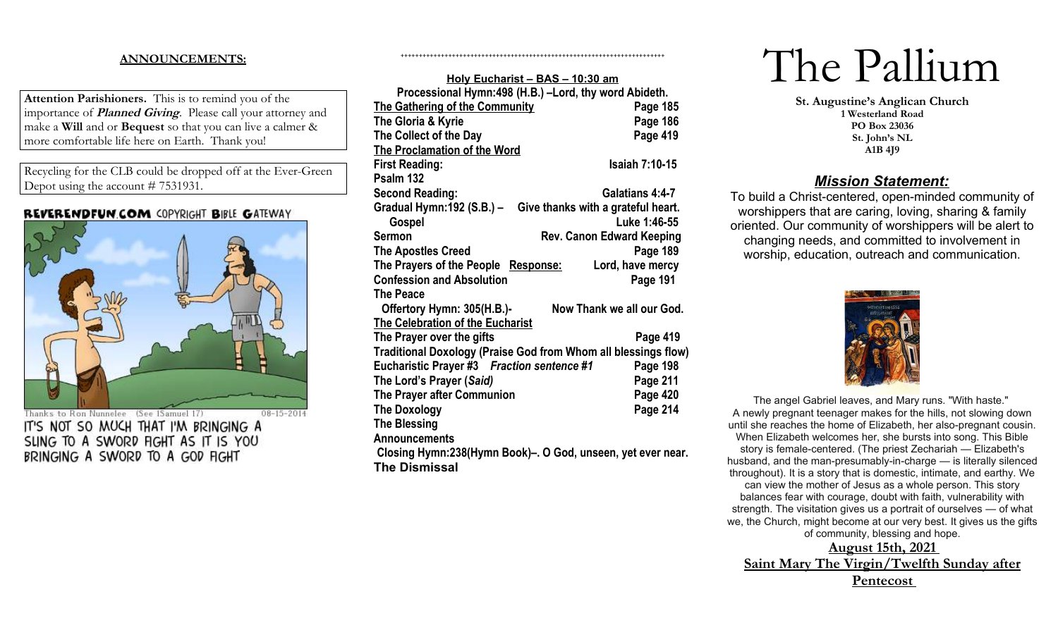# **ANNOUNCEMENTS:**

**Attention Parishioners.** This is to remind you of the importance of **Planned Giving**. Please call your attorney and make a **Will** and or **Bequest** so that you can live a calmer & more comfortable life here on Earth. Thank you!

Recycling for the CLB could be dropped off at the Ever-Green Depot using the account # 7531931.

## REVERENDFUN.COM COPYRIGHT BIBLE GATEWAY



Thanks to Ron Nunnelee (See 1Samuel 17)  $08 - 15 - 2014$ IT'S NOT SO MUCH THAT I'M BRINGING A SLING TO A SWORD FIGHT AS IT IS YOU BRINGING A SWORD TO A GOD FIGHT

| Holy Eucharist - BAS - 10:30 am                                |                                    |  |
|----------------------------------------------------------------|------------------------------------|--|
| Processional Hymn:498 (H.B.) -Lord, thy word Abideth.          |                                    |  |
| <b>The Gathering of the Community</b>                          | Page 185                           |  |
| The Gloria & Kyrie                                             | Page 186                           |  |
| The Collect of the Day                                         | Page 419                           |  |
| <b>The Proclamation of the Word</b>                            |                                    |  |
| <b>First Reading:</b>                                          | <b>Isaiah 7:10-15</b>              |  |
| Psalm 132                                                      |                                    |  |
| <b>Second Reading:</b>                                         | Galatians 4:4-7                    |  |
| Gradual Hymn: 192 (S.B.) -                                     | Give thanks with a grateful heart. |  |
| Gospel                                                         | Luke 1:46-55                       |  |
| Sermon                                                         | <b>Rev. Canon Edward Keeping</b>   |  |
| <b>The Apostles Creed</b>                                      | Page 189                           |  |
| The Prayers of the People Response:                            | Lord, have mercy                   |  |
| <b>Confession and Absolution</b>                               | Page 191                           |  |
| The Peace                                                      |                                    |  |
| Offertory Hymn: 305(H.B.)-                                     | Now Thank we all our God.          |  |
| <b>The Celebration of the Eucharist</b>                        |                                    |  |
| The Prayer over the gifts                                      | Page 419                           |  |
| Traditional Doxology (Praise God from Whom all blessings flow) |                                    |  |
| Eucharistic Prayer #3 Fraction sentence #1                     | Page 198                           |  |
| The Lord's Prayer (Said)                                       | Page 211                           |  |
| The Prayer after Communion                                     | Page 420                           |  |
| <b>The Doxology</b>                                            | Page 214                           |  |
| <b>The Blessing</b>                                            |                                    |  |
| <b>Announcements</b>                                           |                                    |  |
| Closing Hymn:238(Hymn Book)–. O God, unseen, yet ever near.    |                                    |  |
| <b>The Dismissal</b>                                           |                                    |  |
|                                                                |                                    |  |

++++++++++++++++++++++++++++++++++++++++++++++++++++++++++++++++++++++++

# The Pallium

**St. Augustine's Anglican Church 1 Westerland Road PO Box 23036 St. John's NL A1B 4J9**

# *Mission Statement:*

To build a Christ-centered, open-minded community of worshippers that are caring, loving, sharing & family oriented. Our community of worshippers will be alert to changing needs, and committed to involvement in worship, education, outreach and communication.



The angel Gabriel leaves, and Mary runs. "With haste." A newly pregnant teenager makes for the hills, not slowing down until she reaches the home of Elizabeth, her also-pregnant cousin. When Elizabeth welcomes her, she bursts into song. This Bible story is female-centered. (The priest Zechariah — Elizabeth's husband, and the man-presumably-in-charge — is literally silenced throughout). It is a story that is domestic, intimate, and earthy. We can view the mother of Jesus as a whole person. This story balances fear with courage, doubt with faith, vulnerability with strength. The visitation gives us a portrait of ourselves — of what we, the Church, might become at our very best. It gives us the gifts of community, blessing and hope.

**August 15th, 2021 Saint Mary The Virgin/Twelfth Sunday after Pentecost**